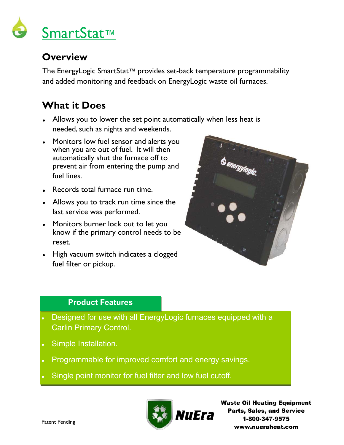

#### **Overview**

The EnergyLogic SmartStat™ provides set-back temperature programmability and added monitoring and feedback on EnergyLogic waste oil furnaces.

## **What it Does**

- Allows you to lower the set point automatically when less heat is needed, such as nights and weekends.
- Monitors low fuel sensor and alerts you when you are out of fuel. It will then automatically shut the furnace off to prevent air from entering the pump and fuel lines.
- Records total furnace run time.
- Allows you to track run time since the last service was performed.
- Monitors burner lock out to let you know if the primary control needs to be reset.
- High vacuum switch indicates a clogged fuel filter or pickup.



#### **Product Features**

- Designed for use with all EnergyLogic furnaces equipped with a Carlin Primary Control.
- Simple Installation.
- Programmable for improved comfort and energy savings.
- Single point monitor for fuel filter and low fuel cutoff.



**Waste Oil Heating Equipment Parts, Sales, and Service** 1-800-347-9575 www.nueraheat.com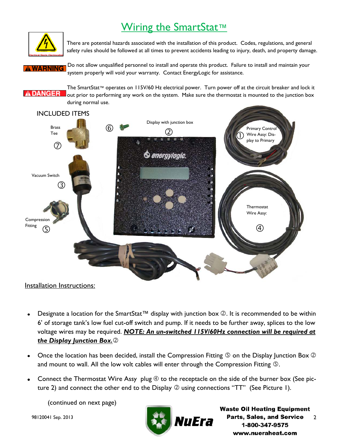# Wiring the SmartStat™



There are potential hazards associated with the installation of this product. Codes, regulations, and general safety rules should be followed at all times to prevent accidents leading to injury, death, and property damage.

Do not allow unqualified personnel to install and operate this product. Failure to install and maintain your WARNING system properly will void your warranty. Contact EnergyLogic for assistance.

The SmartStat™ operates on 115V/60 Hz electrical power. Turn power off at the circuit breaker and lock it A DANGER out prior to performing any work on the system. Make sure the thermostat is mounted to the junction box during normal use.



Installation Instructions:

- Designate a location for the SmartStat™ display with junction box  $\oslash$ . It is recommended to be within 6' of storage tank's low fuel cut-off switch and pump. If it needs to be further away, splices to the low voltage wires may be required. *NOTE: An un-switched 115V/60Hz connection will be required at the Display Junction Box.*
- Once the location has been decided, install the Compression Fitting  $\circledS$  on the Display Junction Box  $\circledS$ and mount to wall. All the low volt cables will enter through the Compression Fitting  $\mathcal{D}$ .
- Connect the Thermostat Wire Assy plug  $\oplus$  to the receptacle on the side of the burner box (See picture 2) and connect the other end to the Display  $\oslash$  using connections "TT" (See Picture 1).

(continued on next page)

98120041 Sep. 2013



**Waste Oil Heating Equipment Parts, Sales, and Service** 2 1-800-347-9575 www.nueraheat.com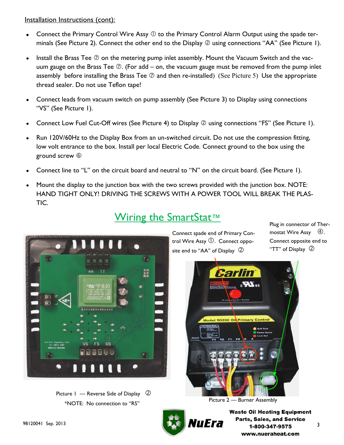Installation Instructions (cont):

- Connect the Primary Control Wire Assy  $\mathbb O$  to the Primary Control Alarm Output using the spade terminals (See Picture 2). Connect the other end to the Display  $\oslash$  using connections "AA" (See Picture 1).
- Install the Brass Tee  $\oslash$  on the metering pump inlet assembly. Mount the Vacuum Switch and the vacuum gauge on the Brass Tee  $\oslash$ . (For add – on, the vacuum gauge must be removed from the pump inlet assembly before installing the Brass Tee  $\oslash$  and then re-installed) (See Picture 5) Use the appropriate thread sealer. Do not use Teflon tape!
- Connect leads from vacuum switch on pump assembly (See Picture 3) to Display using connections  $\bullet$ "VS" (See Picture I).
- Connect Low Fuel Cut-Off wires (See Picture 4) to Display  $\oslash$  using connections "FS" (See Picture 1).
- Run 120V/60Hz to the Display Box from an un-switched circuit. Do not use the compression fitting, low volt entrance to the box. Install per local Electric Code. Connect ground to the box using the ground screw
- Connect line to "L" on the circuit board and neutral to "N" on the circuit board. (See Picture 1).
- Mount the display to the junction box with the two screws provided with the junction box. NOTE: HAND TIGHT ONLY! DRIVING THE SCREWS WITH A POWER TOOL WILL BREAK THE PLAS-TIC.



Wiring the SmartStat™

Connect spade end of Primary Control Wire Assy  $\mathbb O$ . Connect opposite end to "AA" of Display  $\oslash$ 

Plug in connector of Thermostat Wire Assy  $\Phi$ . Connect opposite end to "TT" of Display  $\oslash$ 



Picture 2 — Burner Assembly





**Waste Oil Heating Equipment** Parts, Sales, and Service 98120041 Sep. 2013 **1990 - 1990 - 1990 - 1990 - 1990 - 1990 - 1990 - 1990 - 1990 - 1990 - 1990 - 1990 - 1990 - 1990 - 1990 - 1990 - 1990 - 1990 - 1990 - 1990 - 1990 - 1990 - 1990 - 1990 - 1990 - 1990 - 1990 - 1990 - 1990** www.nueraheat.com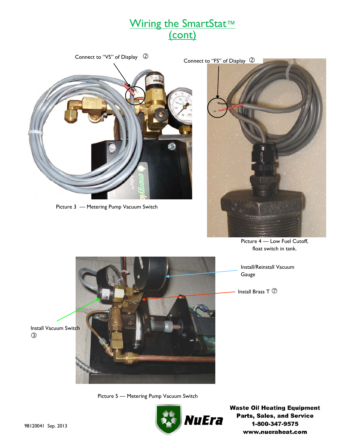# Wiring the SmartStat™ (cont)



Picture 3 — Metering Pump Vacuum Switch



Picture 4 — Low Fuel Cutoff, float switch in tank.

Install/Reinstall Vacuum Gauge

Install Brass T  $\oslash$ 

Picture 5 — Metering Pump Vacuum Switch



**Waste Oil Heating Equipment** Parts, Sales, and Service 1-800-347-9575 www.nueraheat.com

Install Vacuum Switch  $\circled{3}$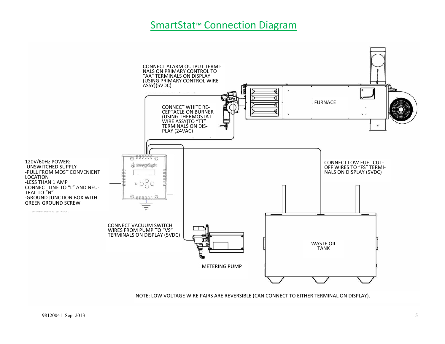#### SmartStat<sup>™</sup> Connection Diagram



NOTE: LOW VOLTAGE WIRE PAIRS ARE REVERSIBLE (CAN CONNECT TO EITHER TERMINAL ON DISPLAY).